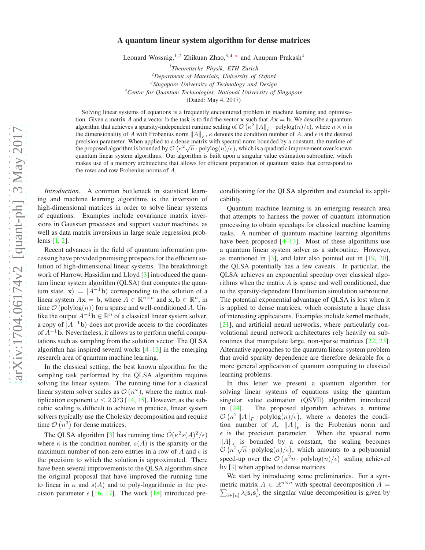## A quantum linear system algorithm for dense matrices

Leonard Wossnig,<sup>1,2</sup> Zhikuan Zhao,<sup>3,4,\*</sup> and Anupam Prakash<sup>4</sup>

 *Theoretische Physik, ETH Zürich Department of Materials, University of Oxford Singapore University of Technology and Design Centre for Quantum Technologies, National University of Singapore* (Dated: May 4, 2017)

Solving linear systems of equations is a frequently encountered problem in machine learning and optimisation. Given a matrix A and a vector b the task is to find the vector x such that  $A**x** = **b**$ . We describe a quantum algorithm that achieves a sparsity-independent runtime scaling of  $\mathcal{O}(\kappa^2 ||A||_F \cdot \text{polylog}(n)/\epsilon)$ , where  $n \times n$  is the dimensionality of A with Frobenius norm  $||A||_F$ ,  $\kappa$  denotes the condition number of A, and  $\epsilon$  is the desired precision parameter. When applied to a dense matrix with spectral norm bounded by a constant, the runtime of the proposed algorithm is bounded by  $\mathcal{O}(\kappa^2 \sqrt{n} \cdot \text{polylog}(n)/\epsilon)$ , which is a quadratic improvement over known quantum linear system algorithms. Our algorithm is built upon a singular value estimation subroutine, which makes use of a memory architecture that allows for efficient preparation of quantum states that correspond to the rows and row Frobenius norms of A.

*Introduction.* A common bottleneck in statistical learning and machine learning algorithms is the inversion of high-dimensional matrices in order to solve linear systems of equations. Examples include covariance matrix inversions in Gaussian processes and support vector machines, as well as data matrix inversions in large scale regression problems [\[1,](#page-3-1) [2\]](#page-3-2).

Recent advances in the field of quantum information processing have provided promising prospects for the efficient solution of high-dimensional linear systems. The breakthrough work of Harrow, Hassidim and Lloyd [\[3\]](#page-3-3) introduced the quantum linear system algorithm (QLSA) that computes the quantum state  $|x\rangle = |A^{-1}b\rangle$  corresponding to the solution of a linear system  $A\mathbf{x} = \mathbf{b}$ , where  $A \in \mathbb{R}^{n \times n}$  and  $\mathbf{x}, \mathbf{b} \in \mathbb{R}^n$ , in time  $\mathcal{O}$  (polylog $(n)$ ) for a sparse and well-conditioned A. Unlike the output  $A^{-1}$ **b**  $\in \mathbb{R}^n$  of a classical linear system solver, a copy of  $|A^{-1}$ **b**) does not provide access to the coordinates of  $A^{-1}$ b. Nevertheless, it allows us to perform useful computations such as sampling from the solution vector. The QLSA algorithm has inspired several works  $[4-13]$  in the emerging research area of quantum machine learning.

In the classical setting, the best known algorithm for the sampling task performed by the QLSA algorithm requires solving the linear system. The running time for a classical linear system solver scales as  $\mathcal{O}(n^{\omega})$ , where the matrix multiplication exponent  $\omega \leq 2.373$  [\[14](#page-4-1), [15\]](#page-4-2). However, as the subcubic scaling is difficult to achieve in practice, linear system solvers typically use the Cholesky decomposition and require time  $\mathcal{O}(n^3)$  for dense matrices.

The QLSA algorithm [\[3](#page-3-3)] has running time  $\tilde{O}(\kappa^2 s(A)^2/\epsilon)$ where  $\kappa$  is the condition number,  $s(A)$  is the sparsity or the maximum number of non-zero entries in a row of A and  $\epsilon$  is the precision to which the solution is approximated. There have been several improvements to the QLSA algorithm since the original proposal that have improved the running time to linear in  $\kappa$  and  $s(A)$  and to poly-logarithmic in the precision parameter  $\epsilon$  [\[16,](#page-4-3) [17\]](#page-4-4). The work [\[18](#page-4-5)] introduced preconditioning for the QLSA algorithm and extended its applicability.

Quantum machine learning is an emerging research area that attempts to harness the power of quantum information processing to obtain speedups for classical machine learning tasks. A number of quantum machine learning algorithms have been proposed  $[4–13]$  $[4–13]$ . Most of these algorithms use a quantum linear system solver as a subroutine. However, as mentioned in [\[3](#page-3-3)], and later also pointed out in [\[19](#page-4-6), [20](#page-4-7)], the QLSA potentially has a few caveats. In particular, the QLSA achieves an exponential speedup over classical algorithms when the matrix  $A$  is sparse and well conditioned, due to the sparsity-dependent Hamiltonian simulation subroutine. The potential exponential advantage of QLSA is lost when it is applied to dense matrices, which consistute a large class of interesting applications. Examples include kernel methods, [\[21](#page-4-8)], and artificial neural networks, where particularly convolutional neural network architectures rely heavily on subroutines that manipulate large, non-sparse matrices [\[22,](#page-4-9) [23](#page-4-10)]. Alternative approaches to the quantum linear system problem that avoid sparsity dependence are therefore desirable for a more general application of quantum computing to classical learning problems.

In this letter we present a quantum algorithm for solving linear systems of equations using the quantum singular value estimation (QSVE) algorithm introduced in [\[24](#page-4-11)]. The proposed algorithm achieves a runtime  $\mathcal{O}\left(\kappa^2 ||A||_F \cdot \text{polylog}(n)/\epsilon\right)$ , where  $\kappa$  denotes the condition number of A,  $||A||_F$  is the Frobenius norm and  $\epsilon$  is the precision parameter. When the spectral norm  $||A||_*$  is bounded by a constant, the scaling becomes  $\mathcal{O}\left(\kappa^2\sqrt{n}\cdot\text{polylog}(n)/\epsilon\right)$ , which amounts to a polynomial speed-up over the  $\mathcal{O}\left(\kappa^2 n \cdot \text{polylog}(n)/\epsilon\right)$  scaling achieved by [\[3\]](#page-3-3) when applied to dense matrices.

We start by introducing some preliminaries. For a symmetric matrix  $A \in \mathbb{R}^{n \times n}$  with spectral decomposition  $A =$  $\sum_{i \in [n]} \lambda_i \mathbf{s}_i \mathbf{s}_i^{\dagger}$ , the singular value decomposition is given by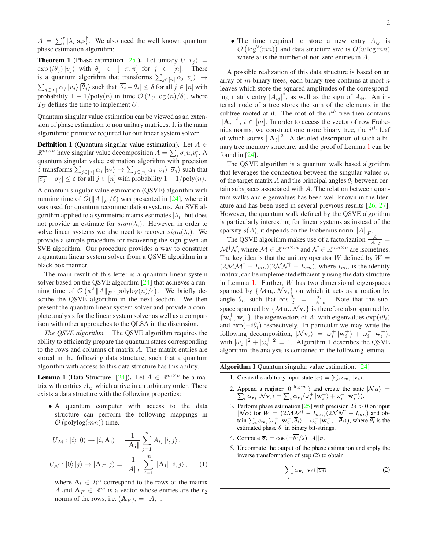$A = \sum_{i}^{r} |\lambda_i| \mathbf{s}_i \mathbf{s}_i^{\dagger}$ . We also need the well known quantum phase estimation algorithm:

<span id="page-1-2"></span>**Theorem 1** (Phase estimation [\[25\]](#page-4-12)). Let unitary  $U |v_i\rangle =$  $\exp(i\theta_j)|v_j\rangle$  with  $\theta_j \in [-\pi,\pi]$  for  $j \in [n]$ . There is a quantum algorithm that transforms  $\sum_{j \in [n]} \alpha_j |v_j\rangle \rightarrow$  $\sum_{j\in [n]}\alpha_j\ket{v_j}\ket{\theta_j}$  such that  $|\theta_j-\theta_j|\leq \delta$  for all  $j\in [n]$  with probability  $1 - 1/\text{poly}(n)$  in time  $\mathcal{O}(T_U \log(n)/\delta)$ , where  $T_U$  defines the time to implement U.

Quantum singular value estimation can be viewed as an extension of phase estimation to non unitary matrices. It is the main algorithmic primitive required for our linear system solver.

**Definition 1** (Quantum singular value estimation). Let  $A \in$  $\mathbb{R}^{m \times n}$  have singular value decomposition  $A = \sum_i \sigma_i u_i v_i^t$ . A quantum singular value estimation algorithm with precision  $\delta$  transforms  $\sum_{j\in[n]}\alpha_j\ket{v_j}\to\sum_{j\in[n]}\alpha_j\ket{v_j}\ket{\overline{\sigma}_j}$  such that  $|\overline{\sigma_j} - \sigma_j| \le \delta$  for all  $j \in [n]$  with probability  $1 - 1/\text{poly}(n)$ .

A quantum singular value estimation (QSVE) algorithm with running time of  $\tilde{O}(\Vert A \Vert_F / \delta)$  was presented in [\[24\]](#page-4-11), where it was used for quantum recommendation systems. An SVE algorithm applied to a symmetric matrix estimates  $|\lambda_i|$  but does not provide an estimate for  $sign(\lambda_i)$ . However, in order to solve linear systems we also need to recover  $sign(\lambda_i)$ . We provide a simple procedure for recovering the sign given an SVE algorithm. Our procedure provides a way to construct a quantum linear system solver from a QSVE algorithm in a black box manner.

The main result of this letter is a quantum linear system solver based on the QSVE algorithm [\[24](#page-4-11)] that achieves a running time of  $\mathcal{O}\left(\kappa^2 ||A||_F \cdot \text{polylog}(n)/\epsilon\right)$ . We briefly describe the QSVE algorithm in the next section. We then present the quantum linear system solver and provide a complete analysis for the linear system solver as well as a comparison with other approaches to the QLSA in the discussion.

*The QSVE algorithm.* The QSVE algorithm requires the ability to efficiently prepare the quantum states corresponding to the rows and columns of matrix A. The matrix entries are stored in the following data structure, such that a quantum algorithm with access to this data structure has this ability.

<span id="page-1-0"></span>**Lemma 1** (Data Structure [\[24](#page-4-11)]). Let  $A \in \mathbb{R}^{m \times n}$  be a matrix with entries  $A_{ij}$  which arrive in an arbitrary order. There exists a data structure with the following properties:

• A quantum computer with access to the data structure can perform the following mappings in  $\mathcal{O}$  (polylog $(mn)$ ) time.

$$
U_{\mathcal{M}} : |i\rangle |0\rangle \rightarrow |i, \mathbf{A_i}\rangle = \frac{1}{\|\mathbf{A_i}\|} \sum_{j=1}^{n} A_{ij} |i, j\rangle ,
$$

$$
U_{\mathcal{N}} : |0\rangle |j\rangle \rightarrow |\mathbf{A}_F, j\rangle = \frac{1}{\|A\|_F} \sum_{i=1}^{m} ||\mathbf{A_i}|| |i, j\rangle , \qquad (1)
$$

where  $A_i \in \mathbb{R}^n$  correspond to the rows of the matrix A and  $A_F \in \mathbb{R}^m$  is a vector whose entries are the  $\ell_2$ norms of the rows, i.e.  $(\mathbf{A}_F)_i = ||A_i||$ .

• The time required to store a new entry  $A_{ij}$  is  $\mathcal{O}\left(\log^2(mn)\right)$  and data structure size is  $O(w \log mn)$ where  $w$  is the number of non zero entries in  $A$ .

A possible realization of this data structure is based on an array of  $m$  binary trees, each binary tree contains at most  $n$ leaves which store the squared amplitudes of the corresponding matrix entry  $|A_{ij}|^2$ , as well as the sign of  $A_{ij}$ . An internal node of a tree stores the sum of the elements in the subtree rooted at it. The root of the  $i<sup>th</sup>$  tree then contains  $\|\mathbf{A}_i\|^2$ ,  $i \in [m]$ . In order to access the vector of row Frobenius norms, we construct one more binary tree, the  $i^{th}$  leaf of which stores  $\|\mathbf{A}_i\|^2$ . A detailed description of such a binary tree memory structure, and the proof of Lemma [1](#page-1-0) can be found in  $[24]$ .

The QSVE algorithm is a quantum walk based algorithm that leverages the connection between the singular values  $\sigma_i$ of the target matrix A and the principal angles  $\theta_i$  between certain subspaces associated with A. The relation between quantum walks and eigenvalues has been well known in the literature and has been used in several previous results [\[26,](#page-4-13) [27](#page-4-14)]. However, the quantum walk defined by the QSVE algorithm is particularly interesting for linear systems as instead of the sparsity  $s(A)$ , it depends on the Frobenius norm  $||A||_F$ .

The QSVE algorithm makes use of a factorization  $\frac{A}{\|A\|_F}$  =  $\mathcal{M}^{\dagger}\mathcal{N}$ , where  $\mathcal{M} \in \mathbb{R}^{mn \times m}$  and  $\mathcal{N} \in \mathbb{R}^{mn \times n}$  are isometries. The key idea is that the unitary operator W defined by  $W =$  $(2MM^{\dagger} - I_{mn})(2NN^{\dagger} - I_{mn})$ , where  $I_{mn}$  is the identity matrix, can be implemented efficiently using the data structure in Lemma [1.](#page-1-0) Further, W has two dimensional eigenspaces spanned by  $\{M\mathbf{u}_i, \mathcal{N}\mathbf{v}_i\}$  on which it acts as a roation by angle  $\theta_i$ , such that  $\cos \frac{\theta_i}{2} = \frac{\sigma_i}{\|A\|_F}$ . Note that the subspace spanned by  $\{M\mathbf{u}_i, \mathcal{N}\mathbf{v}_i\}$  is therefore also spanned by  $\{\mathbf w_i^+, \mathbf w_i^-\}$ , the eigenvectors of W with eigenvalues  $\exp(i\theta_i)$ and  $\exp(-i\theta_i)$  respectively. In particular we may write the following decomposition,  $|\mathcal{N} \mathbf{v}_i\rangle = \omega_i^+ |\mathbf{w}_i^+ \rangle + \omega_i^- |\mathbf{w}_i^- \rangle$ , with  $|\omega_i^-|^2 + |\omega_i^+|^2 = 1$ . Algorithm 1 describes the QSVE algorithm, the analysis is contained in the following lemma.

<span id="page-1-1"></span>Algorithm 1 Quantum singular value estimation. [\[24\]](#page-4-11)

- 1. Create the arbitrary input state  $|\alpha\rangle = \sum_i \alpha_{\mathbf{v}_i} |\mathbf{v}_i\rangle$ .
- 2. Append a register  $|0^{\lceil \log m \rceil}$ Append a register  $|0^{1 \log m}|$  and create the state  $|\mathcal{N}\alpha\rangle = \sum_i \alpha_{\mathbf{v}_i} |\mathcal{N}\mathbf{v}_i\rangle = \sum_i \alpha_{\mathbf{v}_i} (\omega_i^+ |\mathbf{w}_i^+\rangle + \omega_i^- |\mathbf{w}_i^-\rangle).$  $\sum_{i} \alpha_{\mathbf{v}_{i}} |\mathcal{N} \mathbf{v}_{i}\rangle = \sum_{i} \alpha_{\mathbf{v}_{i}} (\omega_{i}^{+} | \mathbf{w}_{i}^{+}\rangle + \omega_{i}^{-} | \mathbf{w}_{i}^{-}\rangle).$
- 3. Perform phase estimation [\[25](#page-4-12)] with precision  $2\delta > 0$  on input  $|N\alpha\rangle$  for  $W = (2MM^{\dagger} - I_{mn})(2NN^{\dagger} - I_{mn})$  and obtain  $\sum_i \alpha_{\mathbf{v}_i} (\omega_i^+ \|\mathbf{w}_i^+, \overline{\theta}_i) + \omega_i^- \|\mathbf{w}_i^-, -\overline{\theta}_i\rangle)$ , where  $\overline{\theta_i}$  is the estimated phase  $\theta_i$  in binary bit-strings.
- 4. Compute  $\overline{\sigma}_i = \cos(\pm \overline{\theta_i}/2)||A||_F$ .
- 5. Uncompute the output of the phase estimation and apply the inverse transformation of step (2) to obtain

$$
\sum_{i} \alpha_{\mathbf{v}_{i}} \left| \mathbf{v}_{i} \right\rangle \left| \overline{\sigma_{i}} \right\rangle \tag{2}
$$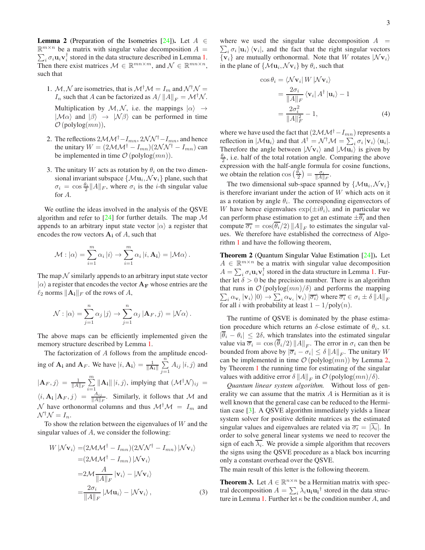<span id="page-2-0"></span>**Lemma 2** (Preparation of the Isometries [\[24\]](#page-4-11)). Let  $A \in$  $\mathbb{R}^{m \times n}$  be a matrix with singular value decomposition  $A =$  $\sum_i \sigma_i \mathbf{u}_i \mathbf{v}_i^{\dagger}$  stored in the data structure described in Lemma [1.](#page-1-0) Then there exist matrices  $\mathcal{M} \in \mathbb{R}^{mn \times m}$ , and  $\mathcal{N} \in \mathbb{R}^{mn \times n}$ , such that

- 1. M, N are isometries, that is  $M^{\dagger}M = I_m$  and  $N^{\dagger}N =$  $I_n$  such that A can be factorized as  $A/||A||_F = \mathcal{M}^{\dagger} \mathcal{N}$ . Multiplication by  $\mathcal{M}, \mathcal{N}$ , i.e. the mappings  $|\alpha\rangle \rightarrow$  $|\mathcal{M}\alpha\rangle$  and  $|\beta\rangle \rightarrow |\mathcal{N}\beta\rangle$  can be performed in time  $\mathcal{O}$  (polylog $(mn)$ ),
- 2. The reflections  $2MM^{\dagger}-I_{mn}, 2NN^{\dagger}-I_{mn}$ , and hence the unitary  $W = (2\mathcal{M}\mathcal{M}^{\dagger} - I_{mn})(2\mathcal{N}\mathcal{N}^{\dagger} - I_{mn})$  can be implemented in time  $\mathcal{O}(\text{polylog}(mn)).$
- 3. The unitary W acts as rotation by  $\theta_i$  on the two dimensional invariant subspace  $\{\mathcal{M} \mathbf{u}_i, \mathcal{N} \mathbf{v}_i\}$  plane, such that  $\sigma_i = \cos \frac{\theta_i}{2} ||A||_F$ , where  $\sigma_i$  is the *i*-th singular value for A.

We outline the ideas involved in the analysis of the QSVE algorithm and refer to  $[24]$  for further details. The map M appends to an arbitrary input state vector  $|\alpha\rangle$  a register that encodes the row vectors  $A_i$  of A, such that

$$
\mathcal{M}: |\alpha\rangle = \sum_{i=1}^m \alpha_i |i\rangle \rightarrow \sum_{i=1}^m \alpha_i |i, \mathbf{A_i}\rangle = |\mathcal{M}\alpha\rangle.
$$

The map  $\mathcal N$  similarly appends to an arbitrary input state vector  $|\alpha\rangle$  a register that encodes the vector  ${\bf A_F}$  whose entries are the  $\ell_2$  norms  $\|\mathbf{A_i}\|_F$  of the rows of A,

$$
\mathcal{N}: |\alpha\rangle = \sum_{j=1}^{n} \alpha_j |j\rangle \rightarrow \sum_{j=1}^{n} \alpha_j |A_F, j\rangle = |\mathcal{N}\alpha\rangle.
$$

The above maps can be efficiently implemented given the memory structure described by Lemma [1.](#page-1-0)

The factorization of A follows from the amplitude encoding of  $\mathbf{A_i}$  and  $\mathbf{A_F}$ . We have  $|i, \mathbf{A_i}\rangle = \frac{1}{\|\mathbf{A_i}\|} \sum_{i=1}^{n}$  $\sum_{j=1} A_{ij} |i,j\rangle$  and  $|\mathbf{A}_F, j\rangle = \frac{1}{\|A\|_F} \sum_{n=1}^{m}$  $\sum_{i=1}^{10} ||\mathbf{A_i}|| |i, j\rangle$ , implying that  $(\mathcal{M}^{\dagger} \mathcal{N})_{ij} =$  $\langle i, {\bf A_i} \, | {\bf A}_F , j \, \rangle \; = \; \frac{A_{ij}}{\| A \|}$  $\frac{A_{ij}}{\|A\|_F}$ . Similarly, it follows that M and  $\mathcal N$  have orthonormal columns and thus  $\mathcal M^{\dagger} \mathcal M = I_m$  and  $\mathcal{N}^{\dagger} \mathcal{N} = I_n.$ 

To show the relation between the eigenvalues of  $W$  and the singular values of A, we consider the following:

$$
W | \mathcal{N} \mathbf{v}_i \rangle = (2 \mathcal{M} \mathcal{M}^\dagger - I_{mn}) (2 \mathcal{N} \mathcal{N}^\dagger - I_{mn}) | \mathcal{N} \mathbf{v}_i \rangle
$$
  
=  $(2 \mathcal{M} \mathcal{M}^\dagger - I_{mn}) | \mathcal{N} \mathbf{v}_i \rangle$   
=  $2 \mathcal{M} \frac{A}{\|A\|_F} | \mathbf{v}_i \rangle - | \mathcal{N} \mathbf{v}_i \rangle$   
=  $\frac{2 \sigma_i}{\|A\|_F} | \mathcal{M} \mathbf{u}_i \rangle - | \mathcal{N} \mathbf{v}_i \rangle$ , (3)

where we used the singular value decomposition  $A =$  $\sum_i \sigma_i |\mathbf{u}_i\rangle \langle \mathbf{v}_i|$ , and the fact that the right singular vectors  $\{v_i\}$  are mutually orthonormal. Note that W rotates  $|Nv_i\rangle$ in the plane of  $\{Mu_i, Nv_i\}$  by  $\theta_i$ , such that

$$
\cos \theta_i = \langle \mathcal{N} \mathbf{v}_i | W | \mathcal{N} \mathbf{v}_i \rangle
$$
  
= 
$$
\frac{2\sigma_i}{\|A\|_F} \langle \mathbf{v}_i | A^\dagger | \mathbf{u}_i \rangle - 1
$$
  
= 
$$
\frac{2\sigma_i^2}{\|A\|_F^2} - 1,
$$
 (4)

where we have used the fact that  $(2M\mathcal{M}^{\dagger}-I_{mn})$  represents a reflection in  $|\mathcal{M} \mathbf{u}_i\rangle$  and that  $A^\dagger = \mathcal{N}^\dagger \mathcal{M} = \sum_i \sigma_i |\mathbf{v}_i\rangle \langle \mathbf{u}_i|$ . Therefore the angle between  $|Nv_i\rangle$  and  $|M u_i\rangle$  is given by  $\frac{\theta_i}{2}$ , i.e. half of the total rotation angle. Comparing the above expression with the half-angle formula for cosine functions, we obtain the relation  $\cos\left(\frac{\theta_i}{2}\right) = \frac{\sigma_i}{\|A\|_F}$ .

The two dimensional sub-space spanned by  $\{M\mathbf{u}_i, \mathcal{N}\mathbf{v}_i\}$ is therefore invariant under the action of  $W$  which acts on it as a rotation by angle  $\theta_i$ . The corresponding eigenvectors of W have hence eigenvalues  $\exp(\pm i\theta_i)$ , and in particular we can perform phase estimation to get an estimate  $\pm \overline{\theta_i}$  and then compute  $\overline{\sigma_i} = \cos(\theta_i/2) ||A||_F$  to estimates the singular values. We therefore have established the correctness of Algorithm [1](#page-1-1) and have the following theorem,

Theorem 2 (Quantum Singular Value Estimation [\[24](#page-4-11)]). Let  $A \in \mathbb{R}^{m \times n}$  be a matrix with singular value decomposition  $A = \sum_i \sigma_i \mathbf{u}_i \mathbf{v}_i^{\dagger}$  stored in the data structure in Lemma [1.](#page-1-0) Further let  $\delta > 0$  be the precision number. There is an algorithm that runs in  $\mathcal{O}(\text{polylog}(mn)/\delta)$  and performs the mapping  $\sum_i \alpha_{\mathbf{v}_i} |\mathbf{v}_i\rangle |0\rangle \rightarrow \sum_i \alpha_{\mathbf{v}_i} |\mathbf{v}_i\rangle |\overline{\sigma_i}\rangle$  where  $\overline{\sigma_i} \in \sigma_i \pm \delta ||A||_F$ for all *i* with probability at least  $1 - 1/poly(n)$ .

The runtime of QSVE is dominated by the phase estimation procedure which returns an  $\delta$ -close estimate of  $\theta_i$ , s.t.  $|\theta_i - \theta_i| \leq 2\delta$ , which translates into the estimated singular value via  $\overline{\sigma}_i = \cos(\theta_i/2) ||A||_F$ . The error in  $\sigma_i$  can then be bounded from above by  $|\overline{\sigma}_i - \sigma_i| \leq \delta ||A||_F$ . The unitary W can be implemented in time  $\mathcal{O}$  (polylog $(mn)$ ) by Lemma [2,](#page-2-0) by Theorem [1](#page-1-2) the running time for estimating of the singular values with additive error  $\delta ||A||_F$  in  $\mathcal{O}$  (polylog $(mn)/\delta$ ).

*Quantum linear system algorithm.* Without loss of generality we can assume that the matrix A is Hermitian as it is well known that the general case can be reduced to the Hermitian case [\[3](#page-3-3)]. A QSVE algorithm immediately yields a linear system solver for positive definite matrices as the estimated singular values and eigenvalues are related via  $\overline{\sigma_i} = |\lambda_i|$ . In order to solve general linear systems we need to recover the sign of each  $\lambda_i$ . We provide a simple algorithm that recovers the signs using the QSVE procedure as a black box incurring only a constant overhead over the QSVE.

The main result of this letter is the following theorem.

**Theorem 3.** Let  $A \in \mathbb{R}^{n \times n}$  be a Hermitian matrix with spectral decomposition  $A = \sum_i \lambda_i \mathbf{u_i} \mathbf{u_i}^\dagger$  stored in the data struc-ture in Lemma [1.](#page-1-0) Further let  $\kappa$  be the condition number A, and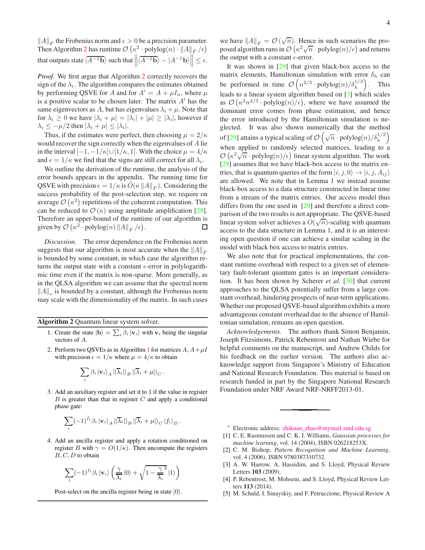$||A||_F$  the Frobenius norm and  $\epsilon > 0$  be a precision parameter. Then Algorithm [2](#page-3-5) has runtime  $\mathcal{O}\left(\kappa^2 \cdot \text{polylog}(n) \cdot ||A||_F/\epsilon\right)$ that outputs state  $|\overline{A^{-1}\mathbf{b}}\rangle$  such that  $\left\|\overline{A^{-1}\mathbf{b}}\rangle - |A^{-1}\mathbf{b}\rangle\right\| \leq \epsilon$ .

*Proof.* We first argue that Algorithm [2](#page-3-5) correctly recovers the sign of the  $\lambda_i$ . The algorithm compares the estimates obtained by performing QSVE for A and for  $A' = A + \mu I_n$ , where  $\mu$ is a positive scalar to be chosen later. The matrix  $A'$  has the same eigenvectors as A, but has eigenvalues  $\lambda_i + \mu$ . Note that for  $\lambda_i \geq 0$  we have  $|\lambda_i + \mu| = |\lambda_i| + |\mu| \geq |\lambda_i|$ , however if  $\lambda_i \leq -\mu/2$  then  $|\lambda_i + \mu| \leq |\lambda_i|$ .

Thus, if the estimates were perfect, then choosing  $\mu = 2/\kappa$ would recover the sign correctly when the eigenvalues of A lie in the interval  $[-1, -1/\kappa] \cup [1/\kappa, 1]$ . With the choice  $\mu = 4/\kappa$ and  $\epsilon = 1/\kappa$  we find that the signs are still correct for all  $\lambda_i$ .

We outline the derivation of the runtime, the analysis of the error bounds appears in the appendix. The running time for QSVE with precision  $\epsilon = 1/\kappa$  is  $\tilde{O}(\kappa ||A||_F)$ . Considering the success probability of the post-selection step, we require on average  $\mathcal{O}(\kappa^2)$  repetitions of the coherent computation. This can be reduced to  $\mathcal{O}(\kappa)$  using amplitude amplification [\[28](#page-4-15)]. Therefore an upper-bound of the runtime of our algorithm is given by  $\mathcal{O}\left(\kappa^2 \cdot \text{polylog}(n) \|A\|_F/\epsilon\right)$ . □

*Discussion.* The error dependence on the Frobenius norm suggests that our algorithm is most accurate when the  $||A||_F$ is bounded by some constant, in which case the algorithm returns the output state with a constant  $\epsilon$ -error in polylogarithmic time even if the matrix is non-sparse. More generally, as in the QLSA algorithm we can assume that the spectral norm  $||A||_*$  is bounded by a constant, although the Frobenius norm may scale with the dimensionality of the matrix. In such cases

<span id="page-3-5"></span>Algorithm 2 Quantum linear system solver.

- 1. Create the state  $|\mathbf{b}\rangle = \sum_i \beta_i |\mathbf{v}_i\rangle$  with  $\mathbf{v}_i$  being the singular vectors of A.
- 2. Perform two QSVEs as in Algorithm [1](#page-1-1) for matrices  $A, A+\mu I$ with precision  $\epsilon = 1/\kappa$  where  $\mu = 4/\kappa$  to obtain

$$
\sum_{i} \beta_{i} | \mathbf{v}_{i} \rangle_{A} | |\overline{\lambda}_{i} | \rangle_{B} | |\overline{\lambda}_{i} + \mu | \rangle_{C}.
$$

3. Add an auxiliary register and set it to 1 if the value in register  $B$  is greater than that in register  $C$  and apply a conditional phase gate:

$$
\sum_{i} (-1)^{f_i} \beta_i \left| \mathbf{v}_i \right\rangle_A \left| |\overline{\lambda}_i| \right\rangle_B \left| |\overline{\lambda}_i + \mu| \right\rangle_C \left| f_i \right\rangle_D.
$$

4. Add an ancilla register and apply a rotation conditioned on register B with  $\gamma = O(1/\kappa)$ . Then uncompute the registers  $B, C, D$  to obtain

$$
\sum_{i} (-1)^{f_i} \beta_i \left| \mathbf{v}_i \right\rangle \left( \frac{\gamma}{\overline{\lambda}_i} \left| 0 \right\rangle + \sqrt{1 - \frac{\gamma}{\overline{\lambda}_i}^2} \left| 1 \right\rangle \right)
$$

Post-select on the ancilla register being in state  $|0\rangle$ .

we have  $||A||_F = \mathcal{O}(\sqrt{n})$ . Hence in such scenarios the proposed algorithm runs in  $\mathcal{O}(\kappa^2 \sqrt{n} \cdot \text{polylog}(n)/\epsilon)$  and returns the output with a constant  $\epsilon$ -error.

It was shown in [\[29\]](#page-4-16) that given black-box access to the matrix elements, Hamiltonian simulation with error  $\delta_h$  can be performed in time  $\mathcal{O}\left(n^{2/3} \cdot \text{polylog}(n)/\delta_h^{1/3}\right)$ . This leads to a linear system algorithm based on [\[3\]](#page-3-3) which scales as  $\mathcal{O}\left(\kappa^2 n^{2/3} \cdot \text{polylog}(n)/\epsilon\right)$ , where we have assumed the dominant error comes from phase estimation, and hence the error introduced by the Hamiltonian simulation is neglected. It was also shown numerically that the method of [\[29\]](#page-4-16) attains a typical scaling of  $\mathcal{O}\left(\sqrt{n}\cdot\mathrm{polylog}(n)/\delta_h^{1/2}\right)$ when applied to randomly selected matrices, leading to a  $\mathcal{O}\left(\kappa^2\sqrt{n}\cdot\text{polylog}(n)/\epsilon\right)$  linear system algorithm. The work [\[29](#page-4-16)] assumes that we have black-box access to the matrix entries, that is quantum queries of the form  $|i, j, 0\rangle \rightarrow |i, j, A_{ij}\rangle$ are allowed. We note that in Lemma 1 we instead assume black-box access to a data structure constructed in linear time from a stream of the matrix entries. Our access model thus differs from the one used in [\[29](#page-4-16)] and therefore a direct comparison of the two results is not appropriate. The QSVE-based linear system solver achieves a  $O(\sqrt{n})$ -scaling with quantum access to the data structure in Lemma 1, and it is an interesting open question if one can achieve a similar scaling in the model with black box access to matrix entries.

We also note that for practical implementations, the constant runtime overhead with respect to a given set of elementary fault-tolerant quantum gates is an important consideration. It has been shown by Scherer *et al.* [\[30\]](#page-4-17) that current approaches to the QLSA potentially suffer from a large constant overhead, hindering prospects of near-term applications. Whether our proposed QSVE-based algorithm exhibits a more advantageous constant overhead due to the absence of Hamiltonian simulation, remains an open question.

*Acknowledgements.* The authors thank Simon Benjamin, Joseph Fitzsimons, Patrick Rebentrost and Nathan Wiebe for helpful comments on the manuscript, and Andrew Childs for his feedback on the earlier version. The authors also acknowledge support from Singapore's Ministry of Education and National Research Foundation. This material is based on research funded in part by the Singapore National Research Foundation under NRF Award NRF-NRFF2013-01.

<span id="page-3-0"></span><sup>∗</sup> Electronic address: [zhikuan\\_zhao@mymail.sutd.edu.sg](mailto:zhikuan_zhao@mymail.sutd.edu.sg)

- <span id="page-3-1"></span>[1] C. E. Rasmussen and C. K. I. Williams, *Gaussian processes for machine learning*, vol. 14 (2004), ISBN 026218253X.
- <span id="page-3-2"></span>[2] C. M. Bishop, *Pattern Recognition and Machine Learning*, vol. 4 (2006), ISBN 9780387310732.
- <span id="page-3-3"></span>[3] A. W. Harrow, A. Hassidim, and S. Lloyd, Physical Review Letters 103 (2009).
- <span id="page-3-4"></span>[4] P. Rebentrost, M. Mohseni, and S. Lloyd, Physical Review Letters 113 (2014).
- [5] M. Schuld, I. Sinayskiy, and F. Petruccione, Physical Review A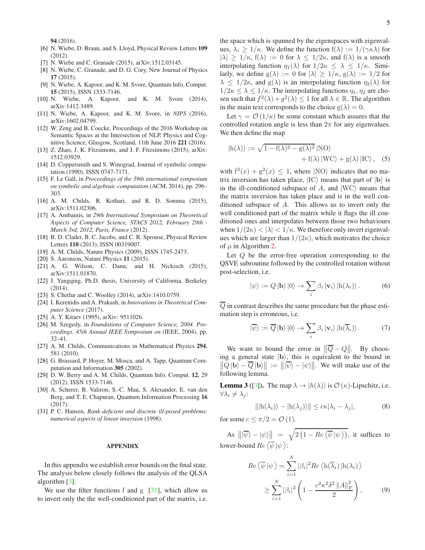94 (2016).

- [6] N. Wiebe, D. Braun, and S. Lloyd, Physical Review Letters 109 (2012).
- [7] N. Wiebe and C. Granade (2015), arXiv:1512.03145.
- [8] N. Wiebe, C. Granade, and D. G. Cory, New Journal of Physics 17 (2015).
- [9] N. Wiebe, A. Kapoor, and K. M. Svore, Quantum Info. Comput. 15 (2015), ISSN 1533-7146.
- [10] N. Wiebe, A. Kapoor, and K. M. Svore (2014), arXiv:1412.3489.
- [11] N. Wiebe, A. Kapoor, and K. M. Svore, in *NIPS* (2016), arXiv:1602.04799.
- [12] W. Zeng and B. Coecke, Proceedings of the 2016 Workshop on Semantic Spaces at the Intersection of NLP, Physics and Cognitive Science, Glasgow, Scotland, 11th June 2016 221 (2016).
- <span id="page-4-0"></span>[13] Z. Zhao, J. K. Fitzsimons, and J. F. Fitzsimons (2015), arXiv: 1512.03929.
- <span id="page-4-1"></span>[14] D. Coppersmith and S. Winograd, Journal of symbolic computation (1990), ISSN 0747-7171.
- <span id="page-4-2"></span>[15] F. Le Gall, in *Proceedings of the 39th international symposium on symbolic and algebraic computation* (ACM, 2014), pp. 296– 303.
- <span id="page-4-3"></span>[16] A. M. Childs, R. Kothari, and R. D. Somma (2015), arXiv:1511.02306.
- <span id="page-4-4"></span>[17] A. Ambainis, in *29th International Symposium on Theoretical Aspects of Computer Science, STACS 2012, February 29th - March 3rd, 2012, Paris, France* (2012).
- <span id="page-4-5"></span>[18] B. D. Clader, B. C. Jacobs, and C. R. Sprouse, Physical Review Letters 110 (2013), ISSN 00319007.
- <span id="page-4-6"></span>[19] A. M. Childs, Nature Physics (2009), ISSN 1745-2473.
- <span id="page-4-7"></span>[20] S. Aaronson, Nature Physics 11 (2015).
- <span id="page-4-8"></span>[21] A. G. Wilson, C. Dann, and H. Nickisch (2015), arXiv:1511.01870.
- <span id="page-4-9"></span>[22] J. Yangqing, Ph.D. thesis, University of California, Berkeley (2014).
- <span id="page-4-10"></span>[23] S. Chetlur and C. Woolley (2014), arXiv:1410.0759.
- <span id="page-4-11"></span>[24] I. Kerenidis and A. Prakash, in *Innovations in Theoretical Computer Science* (2017).
- <span id="page-4-12"></span>[25] A. Y. Kitaev (1995), arXiv: 9511026.
- <span id="page-4-13"></span>[26] M. Szegedy, in *Foundations of Computer Science, 2004. Proceedings. 45th Annual IEEE Symposium on* (IEEE, 2004), pp. 32–41.
- <span id="page-4-14"></span>[27] A. M. Childs, Communications in Mathematical Physics 294, 581 (2010).
- <span id="page-4-15"></span>[28] G. Brassard, P. Hoyer, M. Mosca, and A. Tapp, Quantum Computation and Information 305 (2002).
- <span id="page-4-16"></span>[29] D. W. Berry and A. M. Childs, Quantum Info. Comput. 12, 29 (2012), ISSN 1533-7146.
- <span id="page-4-17"></span>[30] A. Scherer, B. Valiron, S.-C. Mau, S. Alexander, E. van den Berg, and T. E. Chapuran, Quantum Information Processing 16 (2017).
- <span id="page-4-18"></span>[31] P. C. Hansen, *Rank-deficient and discrete ill-posed problems: numerical aspects of linear inversion* (1998).

## APPENDIX

In this appendix we establish error bounds on the final state. The analysis below closely follows the analysis of the QLSA algorithm [\[3\]](#page-3-3).

We use the filter functions f and  $g$  [\[31](#page-4-18)], which allow us to invert only the the well-conditioned part of the matrix, i.e.

the space which is spanned by the eigenspaces with eigenvalues,  $\lambda_i \geq 1/\kappa$ . We define the function  $f(\lambda) := 1/(\gamma \kappa \lambda)$  for  $|\lambda| \geq 1/\kappa$ ,  $f(\lambda) := 0$  for  $\lambda \leq 1/2\kappa$ , and  $f(\lambda)$  is a smooth interpolating function  $\eta_1(\lambda)$  for  $1/2\kappa \leq \lambda \leq 1/\kappa$ . Similarly, we define  $g(\lambda) := 0$  for  $|\lambda| \ge 1/\kappa$ ,  $g(\lambda) := 1/2$  for  $\lambda \leq 1/2\kappa$ , and  $g(\lambda)$  is an interpolating function  $\eta_2(\lambda)$  for  $1/2\kappa \leq \lambda \leq 1/\kappa$ . The interpolating functions  $\eta_1, \eta_2$  are chosen such that  $f^2(\lambda) + g^2(\lambda) \le 1$  for all  $\lambda \in \mathbb{R}$ . The algorithm in the main text corresponds to the choice  $g(\lambda) = 0$ .

Let  $\gamma = \mathcal{O}(1/\kappa)$  be some constant which assures that the controlled rotation angle is less than  $2\pi$  for any eigenvalues. We then define the map

$$
|h(\lambda)\rangle := \sqrt{1 - f(\lambda)^2 - g(\lambda)^2} |NO\rangle + f(\lambda) |WC\rangle + g(\lambda) |IC\rangle, (5)
$$

with  $f^{2}(x) + g^{2}(x) \le 1$ , where  $|NO\rangle$  indicates that no matrix inversion has taken place,  $|IC\rangle$  means that part of  $|b\rangle$  is in the ill-conditioned subspace of A, and  $|WC\rangle$  means that the matrix inversion has taken place and is in the well conditioned subspace of A. This allows us to invert only the well conditioned part of the matrix while it flags the ill conditioned ones and interpolates between those two behaviours when  $1/(2\kappa) < |\lambda| < 1/\kappa$ . We therefore only invert eigenvalues which are larger than  $1/(2\kappa)$ , which motivates the choice of  $\mu$  in Algorithm [2.](#page-3-5)

Let Q be the error-free operation corresponding to the QSVE subroutine followed by the controlled rotation without post-selection, i.e.

$$
|\psi\rangle := Q |\mathbf{b}\rangle |0\rangle \rightarrow \sum_{i} \beta_{i} |\mathbf{v}_{i}\rangle |\mathbf{h}(\lambda_{i})\rangle. \tag{6}
$$

 $\overline{Q}$  in contrast describes the same procedure but the phase estimation step is erroneous, i.e.

$$
|\overline{\psi}\rangle := \overline{Q} |b\rangle |0\rangle \rightarrow \sum_{i} \beta_{i} |v_{i}\rangle |h(\overline{\lambda}_{i})\rangle. \tag{7}
$$

We want to bound the error in  $\|\overline{Q} - Q\|$ . By choosing a general state  $|b\rangle$ , this is equivalent to the bound in  $\|\overline{Q}||\mathbf{b}\rangle - \overline{Q}||\mathbf{b}\rangle\| := \|\overline{\psi}\rangle - \psi\rangle\|.$  We will make use of the following lemma.

<span id="page-4-19"></span>**Lemma 3** ([\[3](#page-3-3)]). The map  $\lambda \rightarrow |h(\lambda)\rangle$  is  $\mathcal{O}(\kappa)$ -Lipschitz, i.e.  $\forall \lambda_i \neq \lambda_i$ :

$$
\| |h(\lambda_i)\rangle - |h(\lambda_j)\rangle \| \le c\kappa |\lambda_i - \lambda_j|,\tag{8}
$$

for some  $c \leq \pi/2 = \mathcal{O}(1)$ .

As  $\left\| \ket{\overline{\psi}} - \ket{\psi} \right\| = \sqrt{2\left(1 - Re\left\langle \overline{\psi} \ket{\psi} \right\rangle\right)},$  it suffices to lower-bound  $Re\left\langle \overline{\psi}|\psi\right\rangle$ :

$$
Re\langle \overline{\psi} | \psi \rangle = \sum_{i=1}^{N} |\beta_i|^2 Re\langle h(\overline{\lambda}_i) | h(\lambda_i) \rangle
$$
  
 
$$
\geq \sum_{i=1}^{N} |\beta_i|^2 \left(1 - \frac{c^2 \kappa^2 \delta^2 ||A||_F^2}{2}\right), \qquad (9)
$$